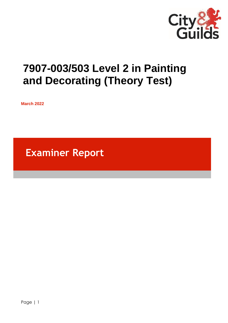

# **7907-003/503 Level 2 in Painting and Decorating (Theory Test)**

**March 2022**

**Examiner Report**

Page | 1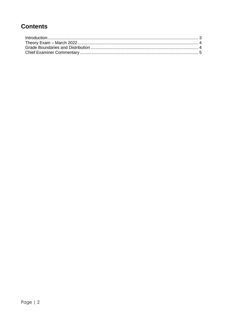# **Contents**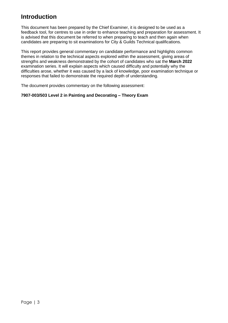## **Introduction**

This document has been prepared by the Chief Examiner, it is designed to be used as a feedback tool, for centres to use in order to enhance teaching and preparation for assessment. It is advised that this document be referred to when preparing to teach and then again when candidates are preparing to sit examinations for City & Guilds Technical qualifications.

This report provides general commentary on candidate performance and highlights common themes in relation to the technical aspects explored within the assessment, giving areas of strengths and weakness demonstrated by the cohort of candidates who sat the **March 2022** examination series. It will explain aspects which caused difficulty and potentially why the difficulties arose, whether it was caused by a lack of knowledge, poor examination technique or responses that failed to demonstrate the required depth of understanding.

The document provides commentary on the following assessment:

## **7907-003/503 Level 2 in Painting and Decorating – Theory Exam**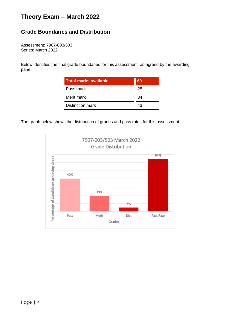# <span id="page-3-0"></span>**Theory Exam – March 2022**

## <span id="page-3-1"></span>**Grade Boundaries and Distribution**

Assessment: 7907-003/503 Series: March 2022

Below identifies the final grade boundaries for this assessment, as agreed by the awarding panel.

| <b>Total marks available</b> | 60 |
|------------------------------|----|
| Pass mark                    | 25 |
| Merit mark                   | 34 |
| Distinction mark             | 43 |

The graph below shows the distribution of grades and pass rates for this assessment.